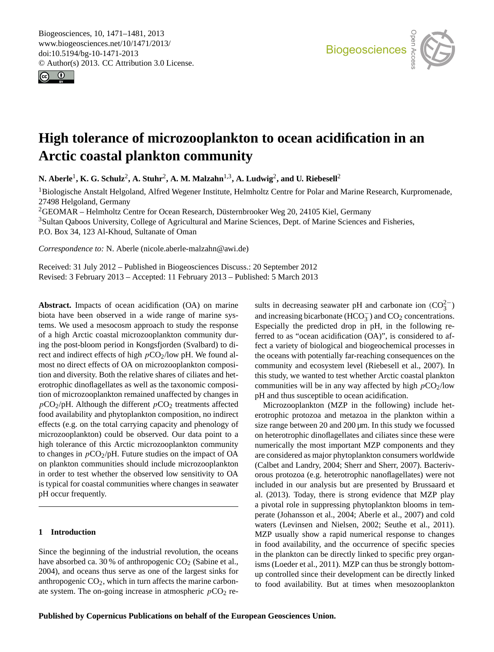<span id="page-0-0"></span>Biogeosciences, 10, 1471–1481, 2013 www.biogeosciences.net/10/1471/2013/ doi:10.5194/bg-10-1471-2013 © Author(s) 2013. CC Attribution 3.0 License.





# **High tolerance of microzooplankton to ocean acidification in an Arctic coastal plankton community**

 $N$ . Aberle<sup>1</sup>, K. G. Schulz<sup>2</sup>, A. Stuhr<sup>2</sup>, A. M. Malzahn<sup>1,3</sup>, A. Ludwig<sup>2</sup>, and U. Riebesell<sup>2</sup>

<sup>1</sup>Biologische Anstalt Helgoland, Alfred Wegener Institute, Helmholtz Centre for Polar and Marine Research, Kurpromenade, 27498 Helgoland, Germany

27496 Heigoland, Germany<br><sup>2</sup>GEOMAR – Helmholtz Centre for Ocean Research, Düsternbrooker Weg 20, 24105 Kiel, Germany

<sup>3</sup>Sultan Qaboos University, College of Agricultural and Marine Sciences, Dept. of Marine Sciences and Fisheries,  $\mathbf{s},$ P.O. Box 34, 123 Al-Khoud, Sultanate of Oman

*Correspondence to:* N. Aberle (nicole.aberle-malzahn@awi.de)

Received: 31 July 2012 – Published in Biogeosciences Discuss.: 20 September 2012 Revised: 3 February 2013 – Accepted: 11 February 2013 – Published: 5 March 2013

**Abstract.** Impacts of ocean acidification (OA) on marine biota have been observed in a wide range of marine systems. We used a mesocosm approach to study the response of a high Arctic coastal microzooplankton community during the post-bloom period in Kongsfjorden (Svalbard) to direct and indirect effects of high  $pCO<sub>2</sub>/low$  pH. We found almost no direct effects of OA on microzooplankton composition and diversity. Both the relative shares of ciliates and heterotrophic dinoflagellates as well as the taxonomic composition of microzooplankton remained unaffected by changes in  $pCO_2$ /pH. Although the different  $pCO_2$  treatments affected food availability and phytoplankton composition, no indirect effects (e.g. on the total carrying capacity and phenology of microzooplankton) could be observed. Our data point to a high tolerance of this Arctic microzooplankton community to changes in  $pCO_2/pH$ . Future studies on the impact of OA on plankton communities should include microzooplankton in order to test whether the observed low sensitivity to OA is typical for coastal communities where changes in seawater pH occur frequently.

# **1 Introduction**

Since the beginning of the industrial revolution, the oceans have absorbed ca. 30 % of anthropogenic  $CO<sub>2</sub>$  (Sabine et al., 2004), and oceans thus serve as one of the largest sinks for anthropogenic  $CO<sub>2</sub>$ , which in turn affects the marine carbonate system. The on-going increase in atmospheric  $pCO_2$  re-

Open Access Especially the predicted drop in pH, in the following re-<br>ferred to as "cogan acidification  $(OA)$ " is considered to affect a variety of biological and biogeochemical processes in the oceans with potentially far-reaching consequences on the<br>community and accession lovel (Biobasell at al. 2007). In rc<br>si<br>l µ sults in decreasing seawater pH and carbonate ion  $(CO_3^{2-})$ and increasing bicarbonate (HCO<sub>3</sub>) and CO<sub>2</sub> concentrations. ferred to as "ocean acidification (OA)", is considered to afcommunity and ecosystem level (Riebesell et al., 2007). In this study, we wanted to test whether Arctic coastal plankton communities will be in any way affected by high  $pCO<sub>2</sub>/low$ pH and thus susceptible to ocean acidification.

Microzooplankton (MZP in the following) include hetgł<br>i<br>kt arc considered as major phytopian ton consuliers worldwide<br>(Calbet and Landry, 2004; Sherr and Sherr, 2007). Bacteriver<br>er:<br>07<br>ate perate (Johansson et al., 2004; Aberle et al., 2007) and cold<br>waters (Lavinsen and Nielsen 2002; Seuthe et al., 2011) Oc<br>OC<br>se erotrophic protozoa and metazoa in the plankton within a size range between 20 and 200 µm. In this study we focussed on heterotrophic dinoflagellates and ciliates since these were numerically the most important MZP components and they are considered as major phytoplankton consumers worldwide orous protozoa (e.g. heterotrophic nanoflagellates) were not included in our analysis but are presented by Brussaard et al. (2013). Today, there is strong evidence that MZP play a pivotal role in suppressing phytoplankton blooms in temwaters (Levinsen and Nielsen, 2002; Seuthe et al., 2011). MZP usually show a rapid numerical response to changes in food availability, and the occurrence of specific species in the plankton can be directly linked to specific prey organisms (Loeder et al., 2011). MZP can thus be strongly bottomup controlled since their development can be directly linked to food availability. But at times when mesozooplankton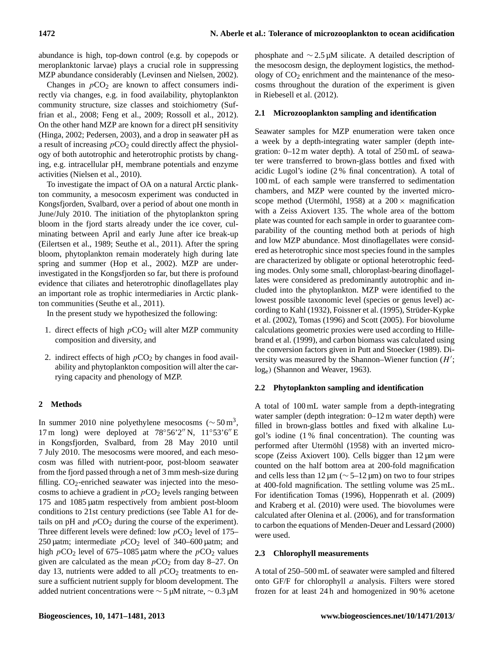abundance is high, top-down control (e.g. by copepods or meroplanktonic larvae) plays a crucial role in suppressing MZP abundance considerably (Levinsen and Nielsen, 2002).

Changes in  $pCO<sub>2</sub>$  are known to affect consumers indirectly via changes, e.g. in food availability, phytoplankton community structure, size classes and stoichiometry (Suffrian et al., 2008; Feng et al., 2009; Rossoll et al., 2012). On the other hand MZP are known for a direct pH sensitivity (Hinga, 2002; Pedersen, 2003), and a drop in seawater pH as a result of increasing  $pCO<sub>2</sub>$  could directly affect the physiology of both autotrophic and heterotrophic protists by changing, e.g. intracellular pH, membrane potentials and enzyme activities (Nielsen et al., 2010).

To investigate the impact of OA on a natural Arctic plankton community, a mesocosm experiment was conducted in Kongsfjorden, Svalbard, over a period of about one month in June/July 2010. The initiation of the phytoplankton spring bloom in the fjord starts already under the ice cover, culminating between April and early June after ice break-up (Eilertsen et al., 1989; Seuthe et al., 2011). After the spring bloom, phytoplankton remain moderately high during late spring and summer (Hop et al., 2002). MZP are underinvestigated in the Kongsfjorden so far, but there is profound evidence that ciliates and heterotrophic dinoflagellates play an important role as trophic intermediaries in Arctic plankton communities (Seuthe et al., 2011).

In the present study we hypothesized the following:

- 1. direct effects of high  $pCO<sub>2</sub>$  will alter MZP community composition and diversity, and
- 2. indirect effects of high  $pCO<sub>2</sub>$  by changes in food availability and phytoplankton composition will alter the carrying capacity and phenology of MZP.

# **2 Methods**

In summer 2010 nine polyethylene mesocosms ( $\sim$  50 m<sup>3</sup>, 17 m long) were deployed at  $78°56'2''$  N,  $11°53'6''$  E in Kongsfjorden, Svalbard, from 28 May 2010 until 7 July 2010. The mesocosms were moored, and each mesocosm was filled with nutrient-poor, post-bloom seawater from the fjord passed through a net of 3 mm mesh-size during filling.  $CO_2$ -enriched seawater was injected into the mesocosms to achieve a gradient in  $pCO<sub>2</sub>$  levels ranging between 175 and 1085 µatm respectively from ambient post-bloom conditions to 21st century predictions (see Table A1 for details on pH and  $pCO<sub>2</sub>$  during the course of the experiment). Three different levels were defined: low  $pCO<sub>2</sub>$  level of 175– 250 µatm; intermediate  $pCO<sub>2</sub>$  level of 340–600 µatm; and high  $pCO_2$  level of 675–1085 µatm where the  $pCO_2$  values given are calculated as the mean  $pCO<sub>2</sub>$  from day 8–27. On day 13, nutrients were added to all  $pCO<sub>2</sub>$  treatments to ensure a sufficient nutrient supply for bloom development. The added nutrient concentrations were ∼ 5 µM nitrate, ∼ 0.3 µM phosphate and ∼ 2.5 µM silicate. A detailed description of the mesocosm design, the deployment logistics, the methodology of  $CO<sub>2</sub>$  enrichment and the maintenance of the mesocosms throughout the duration of the experiment is given in Riebesell et al. (2012).

# **2.1 Microzooplankton sampling and identification**

Seawater samples for MZP enumeration were taken once a week by a depth-integrating water sampler (depth integration: 0–12 m water depth). A total of 250 mL of seawater were transferred to brown-glass bottles and fixed with acidic Lugol's iodine (2 % final concentration). A total of 100 mL of each sample were transferred to sedimentation chambers, and MZP were counted by the inverted microscope method (Utermöhl, 1958) at a  $200 \times$  magnification with a Zeiss Axiovert 135. The whole area of the bottom plate was counted for each sample in order to guarantee comparability of the counting method both at periods of high and low MZP abundance. Most dinoflagellates were considered as heterotrophic since most species found in the samples are characterized by obligate or optional heterotrophic feeding modes. Only some small, chloroplast-bearing dinoflagellates were considered as predominantly autotrophic and included into the phytoplankton. MZP were identified to the lowest possible taxonomic level (species or genus level) according to Kahl (1932), Foissner et al. (1995), Strüder-Kypke et al. (2002), Tomas (1996) and Scott (2005). For biovolume calculations geometric proxies were used according to Hillebrand et al. (1999), and carbon biomass was calculated using the conversion factors given in Putt and Stoecker (1989). Diversity was measured by the Shannon-Wiener function  $(H')$ ; loge) (Shannon and Weaver, 1963).

# **2.2 Phytoplankton sampling and identification**

A total of 100 mL water sample from a depth-integrating water sampler (depth integration: 0–12 m water depth) were filled in brown-glass bottles and fixed with alkaline Lugol's iodine (1 % final concentration). The counting was performed after Utermöhl (1958) with an inverted microscope (Zeiss Axiovert 100). Cells bigger than  $12 \mu m$  were counted on the half bottom area at 200-fold magnification and cells less than  $12 \mu m$  ( $\sim$  5–12  $\mu$ m) on two to four stripes at 400-fold magnification. The settling volume was 25 mL. For identification Tomas (1996), Hoppenrath et al. (2009) and Kraberg et al. (2010) were used. The biovolumes were calculated after Olenina et al. (2006), and for transformation to carbon the equations of Menden-Deuer and Lessard (2000) were used.

# **2.3 Chlorophyll measurements**

A total of 250–500 mL of seawater were sampled and filtered onto GF/F for chlorophyll a analysis. Filters were stored frozen for at least 24 h and homogenized in 90 % acetone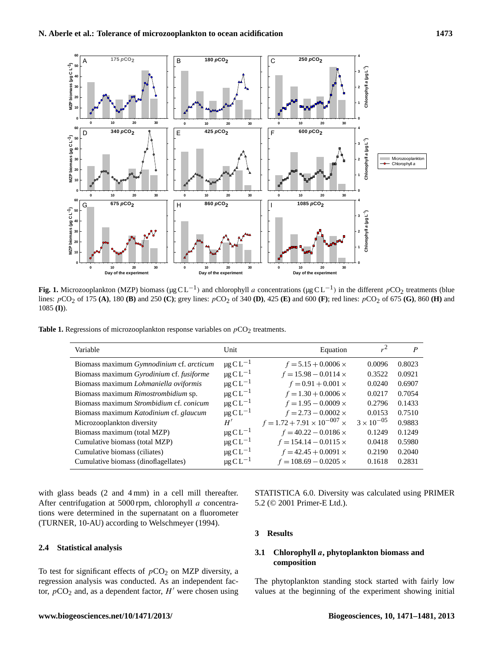

 $p(\Omega_2)$  of 175 (A), 180 (B) and 250 (C): grev lines:  $p(\Omega_2)$  of 340 (D), 425 (E) and 600 (F): red lines:  $p(\Omega_2)$  of 675 (G), 860 (H) and  $p(\Omega_2)$  of 675 (G), 860 (H) and lines:  $pCO_2$  of 175 (A), 180 (B) and 250 (C); grey lines:  $pCO_2$  of 340 (D), 425 (E) and 600 (F); red lines:  $pCO_2$  of 675 (G), 860 (H) and 1085 (D) **Fig. 1.** Microzooplankton (MZP) biomass ( $\mu$ g CL<sup>-1</sup>) and chlorophyll *a* concentrations ( $\mu$ g CL<sup>-1</sup>) in the different *p*CO<sub>2</sub> treatments (blue 1085 **(I)**).

**Table 1.** Regressions of microzooplankton response variables on  $pCO<sub>2</sub>$  treatments.

| Variable                                               | Unit                      | Equation                             | $r^2$               | P      |
|--------------------------------------------------------|---------------------------|--------------------------------------|---------------------|--------|
| Biomass maximum <i>Gymnodinium</i> cf. <i>arcticum</i> | $\mu$ g C L <sup>-1</sup> | $f = 5.15 + 0.0006 \times$           | 0.0096              | 0.8023 |
| Biomass maximum Gyrodinium cf. fusiforme               | $\mu$ g C L <sup>-1</sup> | $f = 15.98 - 0.0114 \times$          | 0.3522              | 0.0921 |
| Biomass maximum Lohmaniella oviformis                  | $\mu$ g C L <sup>-1</sup> | $f = 0.91 + 0.001 \times$            | 0.0240              | 0.6907 |
| Biomass maximum Rimostrombidium sp.                    | $\mu$ g C L <sup>-1</sup> | $f = 1.30 + 0.0006 \times$           | 0.0217              | 0.7054 |
| Biomass maximum Strombidium cf. conicum                | $\mu$ g C L <sup>-1</sup> | $f = 1.95 - 0.0009 \times$           | 0.2796              | 0.1433 |
| Biomass maximum Katodinium cf. glaucum                 | $\mu$ g C L <sup>-1</sup> | $f = 2.73 - 0.0002 \times$           | 0.0153              | 0.7510 |
| Microzooplankton diversity                             | H'                        | $f = 1.72 + 7.91 \times 10^{-007}$ × | $3 \times 10^{-05}$ | 0.9883 |
| Biomass maximum (total MZP)                            | $\mu$ g C L <sup>-1</sup> | $f = 40.22 - 0.0186 \times$          | 0.1249              | 0.1249 |
| Cumulative biomass (total MZP)                         | $\mu$ g C L <sup>-1</sup> | $f = 154.14 - 0.0115 \times$         | 0.0418              | 0.5980 |
| Cumulative biomass (ciliates)                          | $\mu$ g C L <sup>-1</sup> | $f = 42.45 + 0.0091$ ×               | 0.2190              | 0.2040 |
| Cumulative biomass (dinoflagellates)                   | $\mu$ g C L <sup>-1</sup> | $f = 108.69 - 0.0205 \times$         | 0.1618              | 0.2831 |

with glass beads (2 and 4 mm) in a cell mill thereafter. After centrifugation at 5000 rpm, chlorophyll a concentrations were determined in the supernatant on a fluorometer (TURNER, 10-AU) according to Welschmeyer (1994).

# **2.4 Statistical analysis**

To test for significant effects of  $pCO<sub>2</sub>$  on MZP diversity, a regression analysis was conducted. As an independent factor,  $pCO<sub>2</sub>$  and, as a dependent factor,  $H'$  were chosen using STATISTICA 6.0. Diversity was calculated using PRIMER 5.2 (© 2001 Primer-E Ltd.).

### **3 Results**

# **3.1 Chlorophyll** a**, phytoplankton biomass and composition**

The phytoplankton standing stock started with fairly low values at the beginning of the experiment showing initial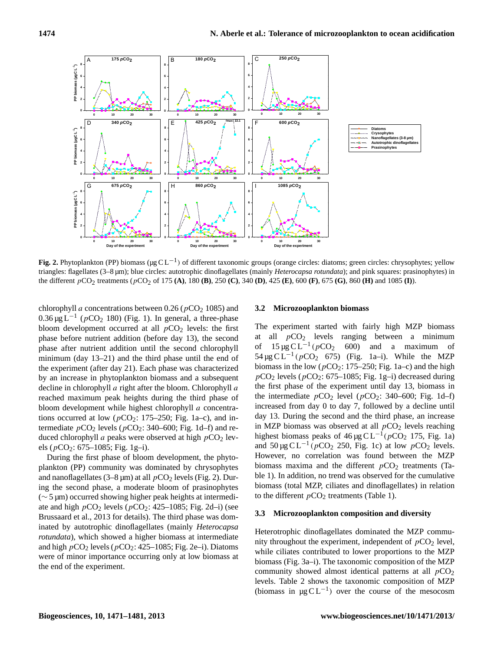

Fig. 2. Phytoplankton (PP) biomass ( $\mu$ g CL<sup>-1</sup>) of different taxonomic groups (orange circles: diatoms; green circles: chrysophytes; yellow triangles: flagellates (3–8 µm); blue circles: autotrophic dinoflagellates (mainly *Heterocapsa rotundata*); and pink squares: prasinophytes) in the different  $pCO_2$  treatments ( $pCO_2$  of 175 (A), 180 (B), 250 (C), 340 (D), 425 (E), 600 (F), 675 (G), 860 (H) and 1085 (I)).

chlorophyll a concentrations between 0.26 ( $pCO<sub>2</sub> 1085$ ) and  $0.36 \,\mathrm{\upmu}\mathrm{g}\,\mathrm{L}^{-1}$  ( $p\text{CO}_2$  180) (Fig. 1). In general, a three-phase bloom development occurred at all  $pCO<sub>2</sub>$  levels: the first phase before nutrient addition (before day 13), the second phase after nutrient addition until the second chlorophyll minimum (day 13–21) and the third phase until the end of the experiment (after day 21). Each phase was characterized by an increase in phytoplankton biomass and a subsequent decline in chlorophyll a right after the bloom. Chlorophyll a reached maximum peak heights during the third phase of bloom development while highest chlorophyll a concentrations occurred at low ( $pCO_2$ : 175–250; Fig. 1a–c), and intermediate  $pCO_2$  levels ( $pCO_2$ : 340–600; Fig. 1d–f) and reduced chlorophyll a peaks were observed at high  $pCO<sub>2</sub>$  levels ( $pCO_2$ : 675–1085; Fig. 1g-i).

During the first phase of bloom development, the phytoplankton (PP) community was dominated by chrysophytes and nanoflagellates (3–8  $\mu$ m) at all  $pCO_2$  levels (Fig. 2). During the second phase, a moderate bloom of prasinophytes (∼ 5 µm) occurred showing higher peak heights at intermediate and high  $pCO_2$  levels ( $pCO_2$ : 425–1085; Fig. 2d–i) (see Brussaard et al., 2013 for details). The third phase was dominated by autotrophic dinoflagellates (mainly *Heterocapsa rotundata*), which showed a higher biomass at intermediate and high  $pCO<sub>2</sub>$  levels ( $pCO<sub>2</sub>: 425–1085$ ; Fig. 2e–i). Diatoms were of minor importance occurring only at low biomass at the end of the experiment.

#### **3.2 Microzooplankton biomass**

The experiment started with fairly high MZP biomass at all  $pCO<sub>2</sub>$  levels ranging between a minimum of  $15 \mu g C L^{-1} (pCO<sub>2</sub> 600)$  and a maximum of 54 µg C L<sup>-1</sup> ( $p$ CO<sub>2</sub> 675) (Fig. 1a-i). While the MZP biomass in the low ( $pCO_2$ : 175–250; Fig. 1a–c) and the high  $pCO<sub>2</sub>$  levels ( $pCO<sub>2</sub>$ : 675–1085; Fig. 1g–i) decreased during the first phase of the experiment until day 13, biomass in the intermediate  $pCO_2$  level ( $pCO_2$ : 340–600; Fig. 1d–f) increased from day 0 to day 7, followed by a decline until day 13. During the second and the third phase, an increase in MZP biomass was observed at all  $pCO<sub>2</sub>$  levels reaching highest biomass peaks of  $46 \mu g CL^{-1} (pCO_2 175, Fig. 1a)$ and  $50 \mu g CL^{-1} (pCO_2 250, Fig. 1c)$  at low  $pCO_2$  levels. However, no correlation was found between the MZP biomass maxima and the different  $pCO<sub>2</sub>$  treatments (Table 1). In addition, no trend was observed for the cumulative biomass (total MZP, ciliates and dinoflagellates) in relation to the different  $pCO<sub>2</sub>$  treatments (Table 1).

#### **3.3 Microzooplankton composition and diversity**

Heterotrophic dinoflagellates dominated the MZP community throughout the experiment, independent of  $pCO<sub>2</sub>$  level, while ciliates contributed to lower proportions to the MZP biomass (Fig. 3a–i). The taxonomic composition of the MZP community showed almost identical patterns at all  $pCO<sub>2</sub>$ levels. Table 2 shows the taxonomic composition of MZP (biomass in  $\mu$ g CL<sup>-1</sup>) over the course of the mesocosm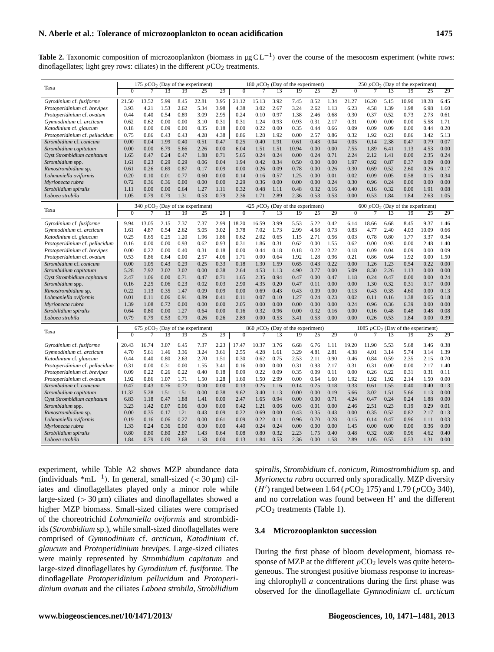Table 2. Taxonomic composition of microzooplankton (biomass in µg CL<sup>-1</sup>) over the course of the mesocosm experiment (white rows: dinoflagellates; light grey rows: ciliates) in the different  $pCO<sub>2</sub>$  treatments.

|                                | 175 $pCO2$ (Day of the experiment) |                                                                          |      |      |                                    |      |              |       |      | 180 $pCO2$ (Day of the experiment) |      | 250 $pCO2$ (Day of the experiment) |                                    |       |      |                                     |       |      |  |  |
|--------------------------------|------------------------------------|--------------------------------------------------------------------------|------|------|------------------------------------|------|--------------|-------|------|------------------------------------|------|------------------------------------|------------------------------------|-------|------|-------------------------------------|-------|------|--|--|
| Taxa                           | $\overline{0}$                     | 7                                                                        | 13   | 19   | 25                                 | 29   | $\Omega$     | 7     | 13   | 19                                 | 25   | 29                                 | $\overline{0}$                     | 7     | 13   | 19                                  | 25    | 29   |  |  |
| Gyrodinium cf. fusiforme       | 21.50                              | 13.52                                                                    | 5.99 | 8.45 | 22.81                              | 3.95 | 21.12        | 15.13 | 3.92 | 7.45                               | 8.52 | 1.34                               | 21.27                              | 16.20 | 5.15 | 10.90                               | 18.28 | 6.45 |  |  |
| Protoperidinium cf. brevipes   | 3.93                               | 4.21                                                                     | 1.53 | 2.62 | 5.34                               | 3.98 | 4.38         | 3.02  | 2.67 | 3.24                               | 2.62 | 1.13                               | 6.23                               | 4.58  | 1.39 | 1.98                                | 6.98  | 1.60 |  |  |
| Protoperidinium cf. ovatum     | 0.44                               | 0.40                                                                     | 0.54 | 0.89 | 3.09                               | 2.95 | 0.24         | 0.10  | 0.97 | 1.38                               | 2.46 | 0.68                               | 0.30                               | 0.37  | 0.52 | 0.73                                | 2.73  | 0.61 |  |  |
| Gymnodinium cf. arcticum       | 0.62                               | 0.62                                                                     | 0.00 | 0.00 | 3.10                               | 0.31 | 0.31         | 1.24  | 0.93 | 0.93                               | 0.31 | 2.17                               | 0.31                               | 0.00  | 0.00 | 0.00                                | 5.58  | 1.71 |  |  |
| Katodinium cf. glaucum         | 0.18                               | 0.00                                                                     | 0.09 | 0.00 | 0.35                               | 0.18 | 0.00         | 0.22  | 0.00 | 0.35                               | 0.44 | 0.66                               | 0.09                               | 0.09  | 0.09 | 0.00                                | 0.44  | 0.20 |  |  |
| Protoperidinium cf. pellucidum | 0.75                               | 0.86                                                                     | 0.43 | 0.43 | 4.28                               | 4.38 | 0.86         | 1.28  | 1.92 | 0.00                               | 2.57 | 0.86                               | 0.32                               | 1.92  | 0.21 | 0.86                                | 3.42  | 5.13 |  |  |
| Strombidium cf. conicum        | 0.00                               | 0.04                                                                     | 1.99 | 0.40 | 0.51                               | 0.47 | 0.25         | 0.40  | 1.91 | 0.61                               | 0.43 | 0.04                               | 0.05                               | 0.14  | 2.38 | 0.47                                | 0.79  | 0.07 |  |  |
| Strombidium capitatum          | 0.00                               | 0.00                                                                     | 6.79 | 5.66 | 2.26                               | 0.00 | 6.04         | 1.51  | 1.51 | 10.94                              | 0.00 | 0.00                               | 7.55                               | 1.89  | 6.41 | 1.13                                | 4.53  | 0.00 |  |  |
| Cyst Strombidium capitatum     | 1.65                               | 0.47                                                                     | 0.24 | 0.47 | 1.88                               | 0.71 | 5.65         | 0.24  | 0.24 | 0.00                               | 0.24 | 0.71                               | 2.24                               | 2.12  | 1.41 | 0.00                                | 2.35  | 0.24 |  |  |
| Strombidium spp.               | 1.61                               | 0.23                                                                     | 0.29 | 0.29 | 0.06                               | 0.04 | 1.94         | 0.42  | 0.34 | 0.50                               | 0.00 | 0.00                               | 1.97                               | 0.92  | 0.87 | 0.37                                | 0.09  | 0.00 |  |  |
| Rimostrombidium sp.            | 0.61                               | 0.26                                                                     | 0.69 | 0.87 | 0.17                               | 0.09 | 0.00         | 0.26  | 0.09 | 0.78                               | 0.00 | 0.26                               | 0.30                               | 0.69  | 0.52 | 2.60                                | 0.26  | 0.17 |  |  |
| Lohmaniella oviformis          | 0.20                               | 0.10                                                                     | 0.01 | 0.77 | 0.60                               | 0.00 | 0.14         | 0.16  | 0.57 | 1.25                               | 0.00 | 0.01                               | 0.02                               | 0.09  | 0.05 | 0.58                                | 0.15  | 0.34 |  |  |
| Myrionecta rubra               | 0.72                               | 0.36                                                                     | 0.36 | 0.00 | 0.00                               | 0.00 | 2.29         | 0.36  | 0.00 | 0.00                               | 0.00 | 0.24                               | 0.30                               | 0.96  | 0.24 | 0.00                                | 0.00  | 0.00 |  |  |
| Strobilidium spiralis          | 1.11                               | 0.00                                                                     | 0.00 | 0.64 | 1.27                               | 1.11 | 0.32         | 0.48  | 1.11 | 0.48                               | 0.32 | 0.16                               | 0.40                               | 0.16  | 0.32 | 0.00                                | 1.91  | 0.08 |  |  |
| Laboea strobila                | 1.05                               | 0.79                                                                     | 0.79 | 1.31 | 0.53                               | 0.79 | 2.36         | 1.71  | 2.89 | 2.36                               | 0.53 | 0.53                               | 0.00                               | 0.53  | 1.84 | 1.84                                | 2.63  | 1.05 |  |  |
|                                |                                    | 340 $pCO2$ (Day of the experiment)<br>425 $pCO2$ (Day of the experiment) |      |      |                                    |      |              |       |      |                                    |      |                                    | 600 $pCO2$ (Day of the experiment) |       |      |                                     |       |      |  |  |
| Taxa                           | $\mathbf{0}$                       | 7                                                                        | 13   | 19   | 25                                 | 29   | $\mathbf{0}$ | 7     | 13   | 19                                 | 25   | 29                                 | $\overline{0}$                     | 7     | 13   | 19                                  | 25    | 29   |  |  |
| Gyrodinium cf. fusiforme       | 9.94                               | 13.05                                                                    | 2.15 | 7.37 | 7.37                               | 2.99 | 18.20        | 16.59 | 3.99 | 5.53                               | 5.22 | 0.42                               | 6.14                               | 18.66 | 6.68 | 8.45                                | 9.37  | 1.46 |  |  |
| Gymnodinium cf. arcticum       | 1.61                               | 4.87                                                                     | 0.54 | 2.62 | 5.05                               | 3.02 | 3.78         | 7.02  | 1.73 | 2.99                               | 4.68 | 0.73                               | 0.83                               | 4.77  | 2.40 | 4.03                                | 10.09 | 0.66 |  |  |
| Katodinium cf. glaucum         | 0.25                               | 0.65                                                                     | 0.25 | 1.20 | 1.96                               | 1.86 | 0.62         | 2.02  | 0.65 | 1.15                               | 2.71 | 0.56                               | 0.03                               | 0.78  | 0.80 | 1.77                                | 3.37  | 0.34 |  |  |
| Protoperidinium cf. pellucidum | 0.16                               | 0.00                                                                     | 0.00 | 0.93 | 0.62                               | 0.93 | 0.31         | 1.86  | 0.31 | 0.62                               | 0.00 | 1.55                               | 0.62                               | 0.00  | 0.93 | 0.00                                | 2.48  | 1.40 |  |  |
| Protoperidinium cf. brevipes   | 0.00                               | 0.22                                                                     | 0.00 | 0.40 | 0.31                               | 0.18 | 0.00         | 0.44  | 0.18 | 0.18                               | 0.22 | 0.22                               | 0.18                               | 0.09  | 0.04 | 0.09                                | 0.00  | 0.09 |  |  |
| Protoperidinium cf. ovatum     | 0.53                               | 0.86                                                                     | 0.64 | 0.00 | 2.57                               | 4.06 | 1.71         | 0.00  | 0.64 | 1.92                               | 1.28 | 0.96                               | 0.21                               | 0.86  | 0.64 | 1.92                                | 0.00  | 1.50 |  |  |
| Strombidium cf. conicum        | 0.00                               | 1.05                                                                     | 0.43 | 0.29 | 0.25                               | 0.33 | 0.18         | 1.30  | 1.59 | 0.65                               | 0.43 | 0.22                               | 0.00                               | 1.26  | 1.23 | 0.54                                | 0.22  | 0.00 |  |  |
| Strombidium capitatum          | 5.28                               | 7.92                                                                     | 3.02 | 3.02 | 0.00                               | 0.38 | 2.64         | 4.53  | 1.13 | 4.90                               | 3.77 | 0.00                               | 5.09                               | 8.30  | 2.26 | 1.13                                | 0.00  | 0.00 |  |  |
| Cyst Strombidium capitatum     | 2.47                               | 1.06                                                                     | 0.00 | 0.71 | 0.47                               | 0.71 | 1.65         | 2.35  | 0.94 | 0.47                               | 0.00 | 0.47                               | 1.18                               | 0.24  | 0.47 | 0.00                                | 0.00  | 0.24 |  |  |
| Strombidium spp.               | 0.16                               | 2.25                                                                     | 0.06 | 0.23 | 0.02                               | 0.03 | 2.90         | 4.35  | 0.20 | 0.47                               | 0.11 | 0.00                               | 0.00                               | 1.30  | 0.32 | 0.31                                | 0.17  | 0.00 |  |  |
| Rimostrombidium sp.            | 0.22                               | 1.13                                                                     | 0.35 | 1.47 | 0.09                               | 0.09 | 0.00         | 0.69  | 0.43 | 0.43                               | 0.09 | 0.00                               | 0.13                               | 0.43  | 0.35 | 4.60                                | 0.00  | 0.13 |  |  |
| Lohmaniella oviformis          | 0.01                               | 0.11                                                                     | 0.06 | 0.91 | 0.89                               | 0.41 | 0.11         | 0.07  | 0.10 | 1.27                               | 0.24 | 0.23                               | 0.02                               | 0.11  | 0.16 | 1.38                                | 0.65  | 0.18 |  |  |
| Myrionecta rubra               | 1.39                               | 1.08                                                                     | 0.72 | 0.00 | 0.00                               | 0.00 | 2.05         | 0.00  | 0.00 | 0.00                               | 0.00 | 0.00                               | 0.24                               | 0.96  | 0.36 | 6.39                                | 0.00  | 0.00 |  |  |
| Strobilidium spiralis          | 0.64                               | 0.80                                                                     | 0.00 | 1.27 | 0.64                               | 0.00 | 0.16         | 0.32  | 0.96 | 0.00                               | 0.32 | 0.16                               | 0.00                               | 0.16  | 0.48 | 0.48                                | 0.48  | 0.08 |  |  |
| Laboea strobila                | 0.79                               | 0.79                                                                     | 0.53 | 0.79 | 0.26                               | 0.26 | 2.89         | 0.00  | 0.53 | 3.41                               | 0.53 | 0.00                               | 0.00                               | 0.26  | 0.53 | 1.84                                | 0.00  | 0.39 |  |  |
|                                |                                    |                                                                          |      |      | 675 $pCO2$ (Day of the experiment) |      |              |       |      | 860 $pCO2$ (Day of the experiment) |      |                                    |                                    |       |      | 1085 $pCO2$ (Day of the experiment) |       |      |  |  |
| Taxa                           | $\Omega$                           |                                                                          | 13   | 19   | 25                                 | 29   | $\mathbf{0}$ | 7     | 13   | 19                                 | 25   | 29                                 | $\mathbf{0}$                       | 7     | 13   | 19                                  | 25    | 29   |  |  |
| Gyrodinium cf. fusiforme       | 20.43                              | 16.74                                                                    | 3.07 | 6.45 | 7.37                               | 2.23 | 17.47        | 10.37 | 3.76 | 6.68                               | 6.76 | 1.11                               | 19.20                              | 11.90 | 5.53 | 5.68                                | 3.46  | 0.38 |  |  |
| Gymnodinium cf. arcticum       | 4.70                               | 5.61                                                                     | 1.46 | 3.36 | 3.24                               | 3.61 | 2.55         | 4.28  | 1.61 | 3.29                               | 4.81 | 2.81                               | 4.38                               | 4.01  | 3.14 | 5.74                                | 3.14  | 1.39 |  |  |
| Katodinium cf. glaucum         | 0.44                               | 0.40                                                                     | 0.80 | 2.63 | 2.70                               | 1.51 | 0.30         | 0.62  | 0.75 | 2.53                               | 2.11 | 0.90                               | 0.46                               | 0.84  | 0.59 | 2.35                                | 2.15  | 0.70 |  |  |
| Protoperidinium cf. pellucidum | 0.31                               | 0.00                                                                     | 0.31 | 0.00 | 1.55                               | 3.41 | 0.16         | 0.00  | 0.00 | 0.31                               | 0.93 | 2.17                               | 0.31                               | 0.31  | 0.00 | 0.00                                | 2.17  | 1.40 |  |  |
| Protoperidinium cf. brevipes   | 0.09                               | 0.22                                                                     | 0.26 | 0.22 | 0.40                               | 0.18 | 0.09         | 0.22  | 0.09 | 0.35                               | 0.09 | 0.11                               | 0.00                               | 0.26  | 0.22 | 0.31                                | 0.31  | 0.11 |  |  |
| Protoperidinium cf. ovatum     | 1.92                               | 0.86                                                                     | 1.07 | 1.71 | 1.50                               | 1.28 | 1.60         | 1.50  | 2.99 | 0.00                               | 0.64 | 1.60                               | 1.92                               | 1.92  | 1.92 | 2.14                                | 1.50  | 0.00 |  |  |
| Strombidium cf. conicum        | 0.47                               | 0.43                                                                     | 0.76 | 0.72 | 0.00                               | 0.00 | 0.13         | 0.25  | 1.16 | 0.14                               | 0.25 | 0.18                               | 0.33                               | 0.61  | 1.55 | 0.40                                | 0.40  | 0.13 |  |  |
| Strombidium capitatum          | 11.32                              | 5.28                                                                     | 1.51 | 1.51 | 0.00                               | 0.38 | 9.62         | 3.40  | 1.13 | 0.00                               | 0.00 | 0.19                               | 5.66                               | 3.02  | 1.51 | 5.66                                | 1.13  | 0.00 |  |  |
| Cyst Strombidium capitatum     | 6.83                               | 1.18                                                                     | 0.47 | 1.88 | 1.41                               | 0.00 | 2.47         | 1.65  | 0.94 | 0.00                               | 0.00 | 0.71                               | 4.24                               | 0.47  | 0.24 | 0.24                                | 1.88  | 0.00 |  |  |
| Strombidium spp.               | 3.23                               | 1.42                                                                     | 0.07 | 0.06 | 0.00                               | 0.00 | 0.42         | 1.21  | 0.06 | 0.03                               | 0.01 | 0.00                               | 2.46                               | 2.51  | 0.23 | 0.19                                | 0.29  | 0.01 |  |  |
| Rimostrombidium sp.            | 0.00                               | 0.35                                                                     | 0.17 | 1.21 | 0.43                               | 0.09 | 0.22         | 0.69  | 0.00 | 0.43                               | 0.35 | 0.43                               | 0.00                               | 0.35  | 0.52 | 0.82                                | 2.17  | 0.13 |  |  |
| Lohmaniella oviformis          | 0.19                               | 0.16                                                                     | 0.06 | 0.27 | 0.00                               | 0.61 | 0.09         | 0.22  | 0.11 | 0.96                               | 0.70 | 0.28                               | 0.15                               | 0.14  | 0.47 | 0.96                                | 1.11  | 0.03 |  |  |
| Myrionecta rubra               | 1.33                               | 0.24                                                                     | 0.36 | 0.00 | 0.00                               | 0.00 | 4.40         | 0.24  | 0.24 | 0.00                               | 0.00 | 0.00                               | 1.45                               | 0.00  | 0.00 | 0.00                                | 0.36  | 0.00 |  |  |
| Strobilidium spiralis          | 0.80                               | 0.80                                                                     | 0.80 | 2.87 | 1.43                               | 0.64 | 0.08         | 0.80  | 0.32 | 2.23                               | 1.75 | 0.40                               | 0.48                               | 0.32  | 0.80 | 0.96                                | 4.62  | 0.40 |  |  |
| Laboea strobila                | 1.84                               | 0.79                                                                     | 0.00 | 3.68 | 1.58                               | 0.00 | 0.13         | 1.84  | 0.53 | 2.36                               | 0.00 | 1.58                               | 2.89                               | 1.05  | 0.53 | 0.53                                | 1.31  | 0.00 |  |  |

experiment, while Table A2 shows MZP abundance data (individuals  $*mL^{-1}$ ). In general, small-sized (< 30 µm) ciliates and dinoflagellates played only a minor role while large-sized  $(> 30 \,\mu m)$  ciliates and dinoflagellates showed a higher MZP biomass. Small-sized ciliates were comprised of the choreotrichid *Lohmaniella oviformis* and strombidiids (*Strombidium* sp.), while small-sized dinoflagellates were comprised of *Gymnodinium* cf. *arcticum*, *Katodinium* cf. *glaucum* and *Protoperidinium brevipes*. Large-sized ciliates were mainly represented by *Strombidium capitatum* and large-sized dinoflagellates by *Gyrodinium* cf. *fusiforme.* The dinoflagellate *Protoperidinium pellucidum* and *Protoperidinium ovatum* and the ciliates *Laboea strobila*, *Strobilidium* *spiralis, Strombidium* cf. *conicum, Rimostrombidium* sp. and *Myrionecta rubra* occurred only sporadically. MZP diversity  $(H')$  ranged between 1.64 ( $pCO_2$  175) and 1.79 ( $pCO_2$  340), and no correlation was found between H' and the different  $pCO<sub>2</sub>$  treatments (Table 1).

#### **3.4 Microzooplankton succession**

During the first phase of bloom development, biomass response of MZP at the different  $pCO<sub>2</sub>$  levels was quite heterogeneous. The strongest positive biomass response to increasing chlorophyll  $a$  concentrations during the first phase was observed for the dinoflagellate *Gymnodinium* cf. *arcticum*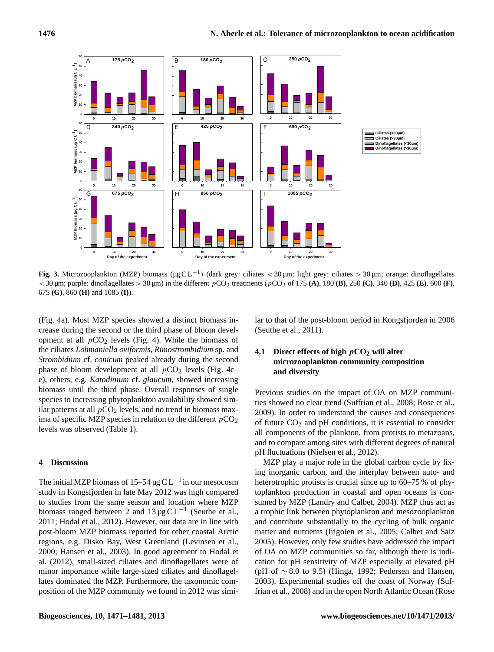

Fig. 3. Microzooplankton (MZP) biomass ( $\mu$ g CL<sup>-1</sup>) (dark grey: ciliates < 30 µm; light grey: ciliates > 30 µm; orange: dinoflagellates  $<$  30  $\mu$ m; purple: dinoflagellates > 30  $\mu$ m) in the different  $p$ CO<sub>2</sub> treatments ( $p$ CO<sub>2</sub> of 175 (A), 180 (B), 250 (C), 340 (D), 425 (E), 600 (F), (I)). 675 **(G)**, 860 **(H)** and 1085 **(I)**).

(Fig. 4a). Most MZP species showed a distinct biomass increase during the second or the third phase of bloom development at all  $pCO<sub>2</sub>$  levels (Fig. 4). While the biomass of the ciliates *Lohmaniella oviformis*, *Rimostrombidium* sp. and *Strombidium* cf. *conicum* peaked already during the second phase of bloom development at all  $pCO<sub>2</sub>$  levels (Fig. 4c– e), others, e.g. *Katodinium* cf. *glaucum*, showed increasing biomass until the third phase. Overall responses of single species to increasing phytoplankton availability showed similar patterns at all  $pCO<sub>2</sub>$  levels, and no trend in biomass maxima of specific MZP species in relation to the different  $pCO<sub>2</sub>$ levels was observed (Table 1).

#### **4 Discussion**

The initial MZP biomass of 15–54 µg C L<sup>-1</sup> in our mesocosm study in Kongsfjorden in late May 2012 was high compared to studies from the same season and location where MZP biomass ranged between 2 and  $13 \mu g CL^{-1}$  (Seuthe et al., 2011; Hodal et al., 2012). However, our data are in line with post-bloom MZP biomass reported for other coastal Arctic regions, e.g. Disko Bay, West Greenland (Levinsen et al., 2000; Hansen et al., 2003). In good agreement to Hodal et al. (2012), small-sized ciliates and dinoflagellates were of minor importance while large-sized ciliates and dinoflagellates dominated the MZP. Furthermore, the taxonomic composition of the MZP community we found in 2012 was similar to that of the post-bloom period in Kongsfjorden in 2006 (Seuthe et al., 2011).

# **4.1 Direct effects of high** p**CO<sup>2</sup> will alter microzooplankton community composition and diversity**

Previous studies on the impact of OA on MZP communities showed no clear trend (Suffrian et al., 2008; Rose et al., 2009). In order to understand the causes and consequences of future  $CO<sub>2</sub>$  and pH conditions, it is essential to consider all components of the plankton, from protists to metazoans, and to compare among sites with different degrees of natural pH fluctuations (Nielsen et al., 2012).

MZP play a major role in the global carbon cycle by fixing inorganic carbon, and the interplay between auto- and heterotrophic protists is crucial since up to 60–75 % of phytoplankton production in coastal and open oceans is consumed by MZP (Landry and Calbet, 2004). MZP thus act as a trophic link between phytoplankton and mesozooplankton and contribute substantially to the cycling of bulk organic matter and nutrients (Irigoien et al., 2005; Calbet and Saiz 2005). However, only few studies have addressed the impact of OA on MZP communities so far, although there is indication for pH sensitivity of MZP especially at elevated pH (pH of  $\sim$  8.0 to 9.5) (Hinga, 1992; Pedersen and Hansen, 2003). Experimental studies off the coast of Norway (Suffrian et al., 2008) and in the open North Atlantic Ocean (Rose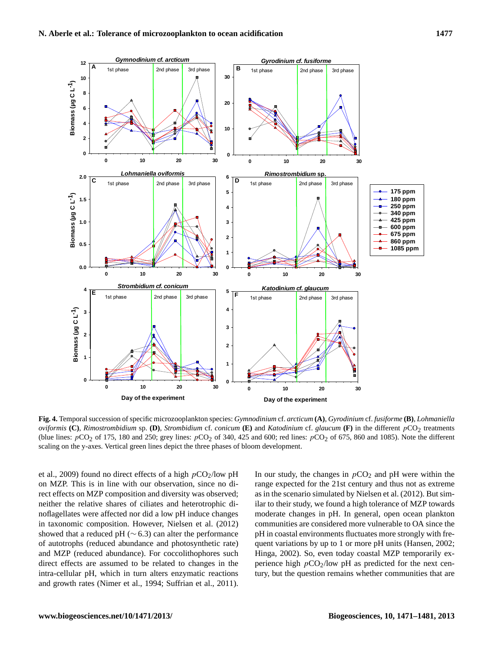![](_page_6_Figure_2.jpeg)

Fig. 4. Temporal succession of specific microzooplankton species: Gymnodinium cf. arcticum (A), Gyrodinium cf. fusiforme (B), Lohmaniella oviformis (C), Rimostrombidium sp. (D), Strombidium cf. conicum (E) and Katodinium cf. glaucum (F) in the different  $pCO_2$  treatments (blue lines:  $pCO_2$  of 175, 180 and 250; grey lines:  $pCO_2$  of 340, 425 and 600; red li scaling on the y-axes. Vertical green lines depict the three phases of bloom development. *oviformis*  $(C)$ , *Rimostrombidium* sp.  $(D)$ , *Strombidium* cf. *conicum*  $(E)$  and *Katodinium* cf. *glaucum*  $(F)$  in the different pCO<sub>2</sub> treatments

et al., 2009) found no direct effects of a high  $pCO<sub>2</sub>/low pH$ on MZP. This is in line with our observation, since no direct effects on MZP composition and diversity was observed; neither the relative shares of ciliates and heterotrophic dinoflagellates were affected nor did a low pH induce changes in taxonomic composition. However, Nielsen et al. (2012) showed that a reduced pH ( $\sim$  6.3) can alter the performance of autotrophs (reduced abundance and photosynthetic rate) and MZP (reduced abundance). For coccolithophores such direct effects are assumed to be related to changes in the intra-cellular pH, which in turn alters enzymatic reactions and growth rates (Nimer et al., 1994; Suffrian et al., 2011). In our study, the changes in  $pCO<sub>2</sub>$  and pH were within the range expected for the 21st century and thus not as extreme as in the scenario simulated by Nielsen et al. (2012). But similar to their study, we found a high tolerance of MZP towards moderate changes in pH. In general, open ocean plankton communities are considered more vulnerable to OA since the pH in coastal environments fluctuates more strongly with frequent variations by up to 1 or more pH units (Hansen, 2002; Hinga, 2002). So, even today coastal MZP temporarily experience high  $pCO_2$ /low pH as predicted for the next century, but the question remains whether communities that are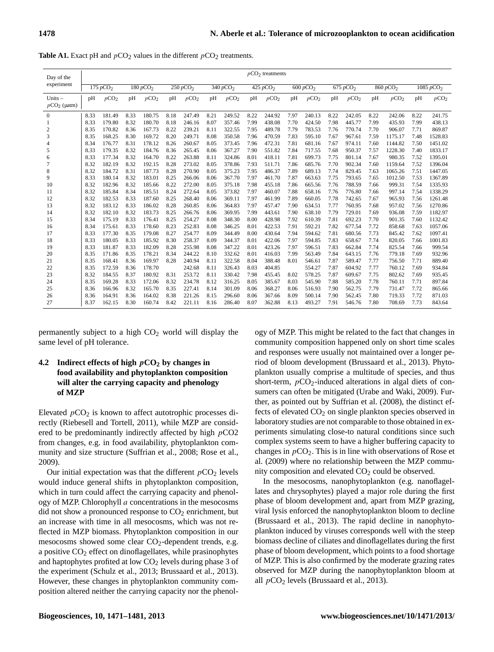| Day of the                  | $pCO2$ treatments |                      |      |                      |      |                      |      |                      |      |                      |                       |                  |                      |                  |                      |                  |                       |                  |
|-----------------------------|-------------------|----------------------|------|----------------------|------|----------------------|------|----------------------|------|----------------------|-----------------------|------------------|----------------------|------------------|----------------------|------------------|-----------------------|------------------|
| experiment                  |                   | 175 pCO <sub>2</sub> |      | 180 pCO <sub>2</sub> |      | 250 pCO <sub>2</sub> |      | 340 pCO <sub>2</sub> |      | 425 pCO <sub>2</sub> | $\overline{600pCO_2}$ |                  | 675 pCO <sub>2</sub> |                  | 860 pCO <sub>2</sub> |                  | 1085 pCO <sub>2</sub> |                  |
| Units $-$<br>$pCO_2$ (µatm) | pH                | pCO <sub>2</sub>     | pH   | pCO <sub>2</sub>     | pH   | pCO <sub>2</sub>     | pH   | pCO <sub>2</sub>     | pH   | pCO <sub>2</sub>     | pH                    | pCO <sub>2</sub> | pH                   | pCO <sub>2</sub> | pH                   | pCO <sub>2</sub> | pH                    | pCO <sub>2</sub> |
| $\mathbf{0}$                | 8.33              | 181.49               | 8.33 | 180.75               | 8.18 | 247.49               | 8.21 | 249.52               | 8.22 | 244.92               | 7.97                  | 240.13           | 8.22                 | 242.05           | 8.22                 | 242.06           | 8.22                  | 241.75           |
| 1                           | 8.33              | 179.80               | 8.32 | 180.70               | 8.18 | 246.16               | 8.07 | 357.46               | 7.99 | 438.08               | 7.70                  | 424.50           | 7.98                 | 445.77           | 7.99                 | 435.93           | 7.99                  | 438.13           |
| 2                           | 8.35              | 170.82               | 8.36 | 167.73               | 8.22 | 239.21               | 8.11 | 322.55               | 7.95 | 489.78               | 7.79                  | 783.53           | 7.76                 | 770.74           | 7.70                 | 906.07           | 7.71                  | 869.87           |
| 3                           | 8.35              | 168.25               | 8.30 | 169.72               | 8.20 | 249.71               | 8.08 | 350.58               | 7.96 | 470.59               | 7.83                  | 595.10           | 7.67                 | 967.61           | 7.59                 | 1175.17          | 7.48                  | 1528.83          |
| 4                           | 8.34              | 176.77               | 8.31 | 178.12               | 8.26 | 260.67               | 8.05 | 373.45               | 7.96 | 472.31               | 7.81                  | 681.16           | 7.67                 | 974.11           | 7.60                 | 1144.82          | 7.50                  | 1451.02          |
| 5                           | 8.33              | 179.35               | 8.32 | 184.76               | 8.36 | 265.45               | 8.06 | 367.27               | 7.90 | 551.82               | 7.84                  | 717.55           | 7.68                 | 950.37           | 7.57                 | 1228.30          | 7.40                  | 1833.17          |
| 6                           | 8.33              | 177.34               | 8.32 | 164.70               | 8.22 | 263.88               | 8.11 | 324.86               | 8.01 | 418.11               | 7.81                  | 699.73           | 7.75                 | 801.14           | 7.67                 | 980.35           | 7.52                  | 1395.01          |
| 7                           | 8.32              | 182.19               | 8.32 | 192.15               | 8.28 | 273.02               | 8.05 | 378.86               | 7.93 | 511.71               | 7.86                  | 685.76           | 7.70                 | 902.34           | 7.60                 | 1159.64          | 7.52                  | 1396.04          |
| 8                           | 8.32              | 184.72               | 8.31 | 187.73               | 8.28 | 270.90               | 8.05 | 375.23               | 7.95 | 486.37               | 7.89                  | 689.13           | 7.74                 | 829.45           | 7.63                 | 1065.26          | 7.51                  | 1447.05          |
| 9                           | 8.33              | 180.14               | 8.32 | 183.01               | 8.25 | 266.06               | 8.06 | 367.70               | 7.97 | 461.70               | 7.87                  | 663.63           | 7.75                 | 793.65           | 7.65                 | 1012.50          | 7.53                  | 1367.89          |
| 10                          | 8.32              | 182.96               | 8.32 | 185.66               | 8.22 | 272.00               | 8.05 | 375.18               | 7.98 | 455.18               | 7.86                  | 665.56           | 7.76                 | 788.59           | 7.66                 | 999.31           | 7.54                  | 1335.93          |
| 11                          | 8.32              | 185.84               | 8.34 | 185.51               | 8.24 | 272.64               | 8.05 | 373.82               | 7.97 | 460.07               | 7.88                  | 658.16           | 7.76                 | 776.80           | 7.66                 | 997.14           | 7.54                  | 1338.29          |
| 12                          | 8.32              | 182.53               | 8.33 | 187.60               | 8.25 | 268.40               | 8.06 | 369.11               | 7.97 | 461.99               | 7.89                  | 660.05           | 7.78                 | 742.65           | 7.67                 | 965.93           | 7.56                  | 1261.48          |
| 13                          | 8.32              | 183.12               | 8.33 | 186.02               | 8.28 | 260.85               | 8.06 | 364.83               | 7.97 | 457.47               | 7.90                  | 634.51           | 7.77                 | 760.95           | 7.68                 | 957.02           | 7.56                  | 1270.86          |
| 14                          | 8.32              | 182.10               | 8.32 | 183.73               | 8.25 | 266.76               | 8.06 | 369.95               | 7.99 | 443.61               | 7.90                  | 638.10           | 7.79                 | 729.01           | 7.69                 | 936.08           | 7.59                  | 1182.97          |
| 15                          | 8.34              | 175.19               | 8.33 | 176.41               | 8.25 | 254.27               | 8.08 | 348.30               | 8.00 | 428.98               | 7.92                  | 610.39           | 7.81                 | 692.23           | 7.70                 | 901.35           | 7.60                  | 1132.42          |
| 16                          | 8.34              | 175.61               | 8.33 | 178.60               | 8.23 | 252.83               | 8.08 | 346.25               | 8.01 | 422.53               | 7.91                  | 592.21           | 7.82                 | 677.54           | 7.72                 | 858.68           | 7.63                  | 1057.06          |
| 17                          | 8.33              | 177.30               | 8.35 | 179.08               | 8.27 | 254.77               | 8.09 | 344.49               | 8.00 | 430.64               | 7.94                  | 594.62           | 7.81                 | 680.56           | 7.73                 | 845.42           | 7.62                  | 1097.41          |
| 18                          | 8.33              | 180.05               | 8.33 | 185.92               | 8.30 | 258.37               | 8.09 | 344.37               | 8.01 | 422.06               | 7.97                  | 594.85           | 7.83                 | 658.67           | 7.74                 | 820.05           | 7.66                  | 1001.83          |
| 19                          | 8.33              | 181.87               | 8.33 | 182.09               | 8.28 | 255.98               | 8.08 | 347.22               | 8.01 | 423.26               | 7.97                  | 596.51           | 7.83                 | 662.84           | 7.74                 | 825.54           | 7.66                  | 999.54           |
| 20                          | 8.35              | 171.86               | 8.35 | 178.21               | 8.34 | 244.22               | 8.10 | 332.62               | 8.01 | 416.03               | 7.99                  | 563.49           | 7.84                 | 643.15           | 7.76                 | 779.18           | 7.69                  | 932.96           |
| 21                          | 8.35              | 168.41               | 8.36 | 169.97               | 8.28 | 240.94               | 8.11 | 322.58               | 8.04 | 388.48               | 8.01                  | 546.61           | 7.87                 | 589.47           | 7.77                 | 756.50           | 7.71                  | 889.40           |
| 22                          | 8.35              | 172.59               | 8.36 | 178.70               |      | 242.68               | 8.11 | 326.43               | 8.03 | 404.85               |                       | 554.27           | 7.87                 | 604.92           | 7.77                 | 760.12           | 7.69                  | 934.84           |
| 23                          | 8.32              | 184.55               | 8.37 | 180.92               | 8.31 | 253.72               | 8.11 | 330.42               | 7.98 | 455.45               | 8.02                  | 578.25           | 7.87                 | 609.67           | 7.75                 | 802.62           | 7.69                  | 935.45           |
| 24                          | 8.35              | 169.28               | 8.33 | 172.06               | 8.32 | 234.78               | 8.12 | 316.25               | 8.05 | 385.67               | 8.03                  | 545.90           | 7.88                 | 585.20           | 7.78                 | 760.11           | 7.71                  | 897.84           |
| 25                          | 8.36              | 166.96               | 8.32 | 165.70               | 8.35 | 227.41               | 8.14 | 301.09               | 8.06 | 368.27               | 8.06                  | 516.93           | 7.90                 | 562.75           | 7.79                 | 731.47           | 7.72                  | 865.66           |
| 26                          | 8.36              | 164.91               | 8.36 | 164.02               | 8.38 | 221.26               | 8.15 | 296.60               | 8.06 | 367.66               | 8.09                  | 500.14           | 7.90                 | 562.45           | 7.80                 | 719.33           | 7.72                  | 871.03           |
| 27                          | 8.37              | 162.15               | 8.30 | 160.74               | 8.42 | 221.11               | 8.16 | 286.40               | 8.07 | 362.88               | 8.13                  | 493.27           | 7.91                 | 546.76           | 7.80                 | 708.69           | 7.73                  | 843.64           |

**Table A1.** Exact pH and  $pCO_2$  values in the different  $pCO_2$  treatments.

permanently subject to a high  $CO<sub>2</sub>$  world will display the same level of pH tolerance.

# **4.2 Indirect effects of high** p**CO<sup>2</sup> by changes in food availability and phytoplankton composition will alter the carrying capacity and phenology of MZP**

Elevated  $pCO<sub>2</sub>$  is known to affect autotrophic processes directly (Riebesell and Tortell, 2011), while MZP are considered to be predominantly indirectly affected by high pCO2 from changes, e.g. in food availability, phytoplankton community and size structure (Suffrian et al., 2008; Rose et al., 2009).

Our initial expectation was that the different  $pCO<sub>2</sub>$  levels would induce general shifts in phytoplankton composition, which in turn could affect the carrying capacity and phenology of MZP. Chlorophyll a concentrations in the mesocosms did not show a pronounced response to  $CO<sub>2</sub>$  enrichment, but an increase with time in all mesocosms, which was not reflected in MZP biomass. Phytoplankton composition in our mesocosms showed some clear  $CO<sub>2</sub>$ -dependent trends, e.g. a positive  $CO<sub>2</sub>$  effect on dinoflagellates, while prasinophytes and haptophytes profited at low  $CO<sub>2</sub>$  levels during phase 3 of the experiment (Schulz et al., 2013; Brussaard et al., 2013). However, these changes in phytoplankton community composition altered neither the carrying capacity nor the phenol-

ogy of MZP. This might be related to the fact that changes in community composition happened only on short time scales and responses were usually not maintained over a longer period of bloom development (Brussaard et al., 2013). Phytoplankton usually comprise a multitude of species, and thus short-term,  $pCO<sub>2</sub>$ -induced alterations in algal diets of consumers can often be mitigated (Urabe and Waki, 2009). Further, as pointed out by Suffrian et al. (2008), the distinct effects of elevated CO<sub>2</sub> on single plankton species observed in laboratory studies are not comparable to those obtained in experiments simulating close-to natural conditions since such complex systems seem to have a higher buffering capacity to changes in  $pCO<sub>2</sub>$ . This is in line with observations of Rose et al. (2009) where no relationship between the MZP community composition and elevated  $CO<sub>2</sub>$  could be observed.

In the mesocosms, nanophytoplankton (e.g. nanoflagellates and chrysophytes) played a major role during the first phase of bloom development and, apart from MZP grazing, viral lysis enforced the nanophytoplankton bloom to decline (Brussaard et al., 2013). The rapid decline in nanophytoplankton induced by viruses corresponds well with the steep biomass decline of ciliates and dinoflagellates during the first phase of bloom development, which points to a food shortage of MZP. This is also confirmed by the moderate grazing rates observed for MZP during the nanophytoplankton bloom at all  $pCO<sub>2</sub>$  levels (Brussaard et al., 2013).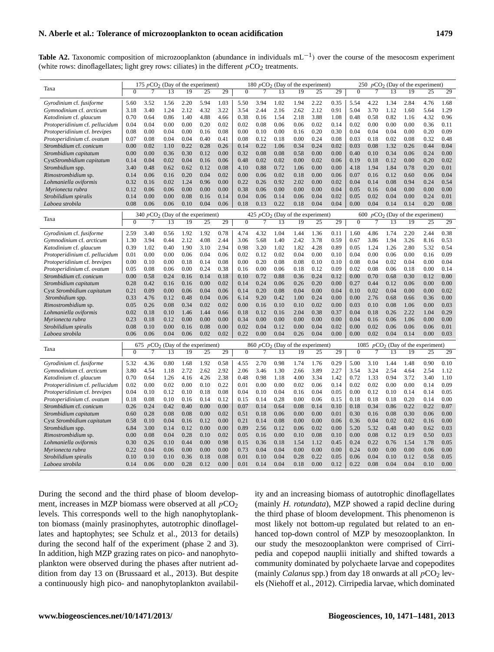## **N. Aberle et al.: Tolerance of microzooplankton to ocean acidification 1479**

Table A2. Taxonomic composition of microzooplankton (abundance in individuals mL<sup>-1</sup>) over the course of the mesocosm experiment (white rows: dinoflagellates; light grey rows: ciliates) in the different  $pCO_2$  treatments.

|                                | 175 $pCO2$ (Day of the experiment) |                                                                          |                                |                 |                 |      |                  |                   |                 | 180 $pCO2$ (Day of the experiment) |                 | 250 $pCO2$ (Day of the experiment) |                                     |      |      |                 |                 |      |  |  |
|--------------------------------|------------------------------------|--------------------------------------------------------------------------|--------------------------------|-----------------|-----------------|------|------------------|-------------------|-----------------|------------------------------------|-----------------|------------------------------------|-------------------------------------|------|------|-----------------|-----------------|------|--|--|
| Taxa                           | $\overline{0}$                     | $\overline{7}$                                                           | $\overline{13}$                | $\overline{19}$ | $\overline{25}$ | 29   | $\overline{0}$   | $\overline{\tau}$ | $\overline{13}$ | $\overline{19}$                    | $\overline{25}$ | 29                                 | $\overline{0}$                      | 7    | 13   | $\overline{19}$ | $\overline{25}$ | 29   |  |  |
| Gyrodinium cf. fusiforme       | 5.60                               | 3.52                                                                     | 1.56                           | 2.20            | 5.94            | 1.03 | 5.50             | 3.94              | 1.02            | 1.94                               | 2.22            | 0.35                               | 5.54                                | 4.22 | 1.34 | 2.84            | 4.76            | 1.68 |  |  |
| Gymnodinium cf. arcticum       | 3.18                               | 3.40                                                                     | 1.24                           | 2.12            | 4.32            | 3.22 | 3.54             | 2.44              | 2.16            | 2.62                               | 2.12            | 0.91                               | 5.04                                | 3.70 | 1.12 | 1.60            | 5.64            | 1.29 |  |  |
| Katodinium cf. glaucum         | 0.70                               | 0.64                                                                     | 0.86                           | 1.40            | 4.88            | 4.66 | 0.38             | 0.16              | 1.54            | 2.18                               | 3.88            | 1.08                               | 0.48                                | 0.58 | 0.82 | 1.16            | 4.32            | 0.96 |  |  |
| Protoperidinium cf. pellucidum | 0.04                               | 0.04                                                                     | 0.00                           | 0.00            | 0.20            | 0.02 | 0.02             | 0.08              | 0.06            | 0.06                               | 0.02            | 0.14                               | 0.02                                | 0.00 | 0.00 | 0.00            | 0.36            | 0.11 |  |  |
| Protoperidinium cf. brevipes   | 0.08                               | 0.00                                                                     | 0.04                           | 0.00            | 0.16            | 0.08 | 0.00             | 0.10              | 0.00            | 0.16                               | 0.20            | 0.30                               | 0.04                                | 0.04 | 0.04 | 0.00            | 0.20            | 0.09 |  |  |
| Protoperidinium cf. ovatum     | 0.07                               | 0.08                                                                     | 0.04                           | 0.04            | 0.40            | 0.41 | 0.08             | 0.12              | 0.18            | 0.00                               | 0.24            | 0.08                               | 0.03                                | 0.18 | 0.02 | 0.08            | 0.32            | 0.48 |  |  |
| Strombidium cf. conicum        | 0.00                               | 0.02                                                                     | 1.10                           | 0.22            | 0.28            | 0.26 | 0.14             | 0.22              | 1.06            | 0.34                               | 0.24            | 0.02                               | 0.03                                | 0.08 | 1.32 | 0.26            | 0.44            | 0.04 |  |  |
| Strombidium capitatum          | 0.00                               | 0.00                                                                     | 0.36                           | 0.30            | 0.12            | 0.00 | 0.32             | 0.08              | 0.08            | 0.58                               | 0.00            | 0.00                               | 0.40                                | 0.10 | 0.34 | 0.06            | 0.24            | 0.00 |  |  |
| CystStrombidium capitatum      | 0.14                               | 0.04                                                                     | 0.02                           | 0.04            | 0.16            | 0.06 | 0.48             | 0.02              | 0.02            | 0.00                               | 0.02            | 0.06                               | 0.19                                | 0.18 | 0.12 | 0.00            | 0.20            | 0.02 |  |  |
| Strombidium spp.               | 3.40                               | 0.48                                                                     | 0.62                           | 0.62            | 0.12            | 0.08 | 4.10             | 0.88              | 0.72            | 1.06                               | 0.00            | 0.00                               | 4.18                                | 1.94 | 1.84 | 0.78            | 0.20            | 0.01 |  |  |
| Rimostrombidium sp.            | 0.14                               | 0.06                                                                     | 0.16                           | 0.20            | 0.04            | 0.02 | 0.00             | 0.06              | 0.02            | 0.18                               | 0.00            | 0.06                               | 0.07                                | 0.16 | 0.12 | 0.60            | 0.06            | 0.04 |  |  |
| Lohmaniella oviformis          | 0.32                               | 0.16                                                                     | 0.02                           | 1.24            | 0.96            | 0.00 | 0.22             | 0.26              | 0.92            | 2.02                               | 0.00            | 0.02                               | 0.04                                | 0.14 | 0.08 | 0.94            | 0.24            | 0.54 |  |  |
| Myrionecta rubra               | 0.12                               | 0.06                                                                     | 0.06                           | 0.00            | 0.00            | 0.00 | 0.38             | 0.06              | 0.00            | 0.00                               | 0.00            | 0.04                               | 0.05                                | 0.16 | 0.04 | 0.00            | 0.00            | 0.00 |  |  |
| Strobilidium spiralis          | 0.14                               | 0.00                                                                     | 0.00                           | 0.08            | 0.16            | 0.14 | 0.04             | 0.06              | 0.14            | 0.06                               | 0.04            | 0.02                               | 0.05                                | 0.02 | 0.04 | 0.00            | 0.24            | 0.01 |  |  |
| Laboea strobila                | 0.08                               | 0.06                                                                     | 0.06                           | 0.10            | 0.04            | 0.06 | 0.18             | 0.13              | 0.22            | 0.18                               | 0.04            | 0.04                               | 0.00                                | 0.04 | 0.14 | 0.14            | 0.20            | 0.08 |  |  |
|                                |                                    | 340 $pCO2$ (Day of the experiment)<br>425 $pCO2$ (Day of the experiment) |                                |                 |                 |      |                  |                   |                 |                                    |                 |                                    | 600 $pCO2$ (Day of the experiment)  |      |      |                 |                 |      |  |  |
| Taxa                           | $\Omega$                           | 7                                                                        | 13                             | 19              | 25              | 29   | $\mathbf{0}$     | 7                 | 13              | 19                                 | 25              | 29                                 | $\mathbf{0}$                        | 7    | 13   | 19              | 25              | 29   |  |  |
| Gyrodinium cf. fusiforme       | 2.59                               | 3.40                                                                     | 0.56                           | 1.92            | 1.92            | 0.78 | 4.74             | 4.32              | 1.04            | 1.44                               | 1.36            | 0.11                               | 1.60                                | 4.86 | 1.74 | 2.20            | 2.44            | 0.38 |  |  |
| Gymnodinium cf. arcticum       | 1.30                               | 3.94                                                                     | 0.44                           | 2.12            | 4.08            | 2.44 | 3.06             | 5.68              | 1.40            | 2.42                               | 3.78            | 0.59                               | 0.67                                | 3.86 | 1.94 | 3.26            | 8.16            | 0.53 |  |  |
| Katodinium cf. glaucum         | 0.39                               | 1.02                                                                     | 0.40                           | 1.90            | 3.10            | 2.94 | 0.98             | 3.20              | 1.02            | 1.82                               | 4.28            | 0.89                               | 0.05                                | 1.24 | 1.26 | 2.80            | 5.32            | 0.54 |  |  |
| Protoperidinium cf. pellucidum | 0.01                               | 0.00                                                                     | 0.00                           | 0.06            | 0.04            | 0.06 | 0.02             | 0.12              | 0.02            | 0.04                               | 0.00            | 0.10                               | 0.04                                | 0.00 | 0.06 | 0.00            | 0.16            | 0.09 |  |  |
| Protoperidinium cf. brevipes   | 0.00                               | 0.10                                                                     | 0.00                           | 0.18            | 0.14            | 0.08 | 0.00             | 0.20              | 0.08            | 0.08                               | 0.10            | 0.10                               | 0.08                                | 0.04 | 0.02 | 0.04            | 0.00            | 0.04 |  |  |
| Protoperidinium cf. ovatum     | 0.05                               | 0.08                                                                     | 0.06                           | 0.00            | 0.24            | 0.38 | 0.16             | 0.00              | 0.06            | 0.18                               | 0.12            | 0.09                               | 0.02                                | 0.08 | 0.06 | 0.18            | 0.00            | 0.14 |  |  |
| Strombidium cf. conicum        | 0.00                               | 0.58                                                                     | 0.24                           | 0.16            | 0.14            | 0.18 | 0.10             | 0.72              | 0.88            | 0.36                               | 0.24            | 0.12                               | 0.00                                | 0.70 | 0.68 | 0.30            | 0.12            | 0.00 |  |  |
| Strombidium capitatum          | 0.28                               | 0.42                                                                     | 0.16                           | 0.16            | 0.00            | 0.02 | 0.14             | 0.24              | 0.06            | 0.26                               | 0.20            | 0.00                               | 0.27                                | 0.44 | 0.12 | 0.06            | 0.00            | 0.00 |  |  |
| Cyst Strombidium capitatum     | 0.21                               | 0.09                                                                     | 0.00                           | 0.06            | 0.04            | 0.06 | 0.14             | 0.20              | 0.08            | 0.04                               | 0.00            | 0.04                               | 0.10                                | 0.02 | 0.04 | 0.00            | 0.00            | 0.02 |  |  |
| Strombidium spp.               | 0.33                               | 4.76                                                                     | 0.12                           | 0.48            | 0.04            | 0.06 | 6.14             | 9.20              | 0.42            | 1.00                               | 0.24            | 0.00                               | 0.00                                | 2.76 | 0.68 | 0.66            | 0.36            | 0.00 |  |  |
| Rimostrombidium sp.            | 0.05                               | 0.26                                                                     | 0.08                           | 0.34            | 0.02            | 0.02 | 0.00             | 0.16              | 0.10            | 0.10                               | 0.02            | 0.00                               | 0.03                                | 0.10 | 0.08 | 1.06            | 0.00            | 0.03 |  |  |
| Lohmaniella oviformis          | 0.02                               | 0.18                                                                     | 0.10                           | 1.46            | 1.44            | 0.66 | 0.18             | 0.12              | 0.16            | 2.04                               | 0.38            | 0.37                               | 0.04                                | 0.18 | 0.26 | 2.22            | 1.04            | 0.29 |  |  |
| Myrionecta rubra               | 0.23                               | 0.18                                                                     | 0.12                           | 0.00            | 0.00            | 0.00 | 0.34             | 0.00              | 0.00            | 0.00                               | 0.00            | 0.00                               | 0.04                                | 0.16 | 0.06 | 1.06            | 0.00            | 0.00 |  |  |
| Strobilidium spiralis          | 0.08                               | 0.10                                                                     | 0.00                           | 0.16            | 0.08            | 0.00 | 0.02             | 0.04              | 0.12            | 0.00                               | 0.04            | 0.02                               | 0.00                                | 0.02 | 0.06 | 0.06            | 0.06            | 0.01 |  |  |
| Laboea strobila                | 0.06                               | 0.06                                                                     | 0.04                           | 0.06            | 0.02            | 0.02 | 0.22             | 0.00              | 0.04            | 0.26                               | 0.04            | 0.00                               | 0.00                                | 0.02 | 0.04 | 0.14            | 0.00            | 0.03 |  |  |
|                                |                                    | 675                                                                      | $pCO2$ (Day of the experiment) |                 |                 |      |                  |                   |                 | $860 pCO2$ (Day of the experiment) |                 |                                    | 1085 $pCO2$ (Day of the experiment) |      |      |                 |                 |      |  |  |
| Taxa                           | $\overline{0}$                     | 7                                                                        | 13                             | 19              | 25              | 29   | $\boldsymbol{0}$ | 7                 | 13              | 19                                 | $\overline{25}$ | 29                                 | $\mathbf{0}$                        | 7    | 13   | 19              | 25              | 29   |  |  |
| Gyrodinium cf. fusiforme       | 5.32                               | 4.36                                                                     | 0.80                           | 1.68            | 1.92            | 0.58 | 4.55             | 2.70              | 0.98            | 1.74                               | 1.76            | 0.29                               | 5.00                                | 3.10 | 1.44 | 1.48            | 0.90            | 0.10 |  |  |
| Gymnodinium cf. arcticum       | 3.80                               | 4.54                                                                     | 1.18                           | 2.72            | 2.62            | 2.92 | 2.06             | 3.46              | 1.30            | 2.66                               | 3.89            | 2.27                               | 3.54                                | 3.24 | 2.54 | 4.64            | 2.54            | 1.12 |  |  |
| Katodinium cf. glaucum         | 0.70                               | 0.64                                                                     | 1.26                           | 4.16            | 4.26            | 2.38 | 0.48             | 0.98              | 1.18            | 4.00                               | 3.34            | 1.42                               | 0.72                                | 1.33 | 0.94 | 3.72            | 3.40            | 1.10 |  |  |
| Protoperidinium cf. pellucidum | 0.02                               | 0.00                                                                     | 0.02                           | 0.00            | 0.10            | 0.22 | 0.01             | 0.00              | 0.00            | 0.02                               | 0.06            | 0.14                               | 0.02                                | 0.02 | 0.00 | 0.00            | 0.14            | 0.09 |  |  |
| Protoperidinium cf. brevipes   | 0.04                               | 0.10                                                                     | 0.12                           | 0.10            | 0.18            | 0.08 | 0.04             | 0.10              | 0.04            | 0.16                               | 0.04            | 0.05                               | 0.00                                | 0.12 | 0.10 | 0.14            | 0.14            | 0.05 |  |  |
| Protoperidinium cf. ovatum     | 0.18                               | 0.08                                                                     | 0.10                           | 0.16            | 0.14            | 0.12 | 0.15             | 0.14              | 0.28            | 0.00                               | 0.06            | 0.15                               | 0.18                                | 0.18 | 0.18 | 0.20            | 0.14            | 0.00 |  |  |
| Strombidium cf. conicum        | 0.26                               | 0.24                                                                     | 0.42                           | 0.40            | 0.00            | 0.00 | 0.07             | 0.14              | 0.64            | 0.08                               | 0.14            | 0.10                               | 0.18                                | 0.34 | 0.86 | 0.22            | 0.22            | 0.07 |  |  |
| Strombidium capitatum          | 0.60                               | 0.28                                                                     | 0.08                           | 0.08            | 0.00            | 0.02 | 0.51             | 0.18              | 0.06            | 0.00                               | 0.00            | 0.01                               | 0.30                                | 0.16 | 0.08 | 0.30            | 0.06            | 0.00 |  |  |
| Cyst Strombidium capitatum     | 0.58                               | 0.10                                                                     | 0.04                           | 0.16            | 0.12            | 0.00 | 0.21             | 0.14              | 0.08            | 0.00                               | 0.00            | 0.06                               | 0.36                                | 0.04 | 0.02 | 0.02            | 0.16            | 0.00 |  |  |
| Strombidium spp.               | 6.84                               | 3.00                                                                     | 0.14                           | 0.12            | 0.00            | 0.00 | 0.89             | 2.56              | 0.12            | 0.06                               | 0.02            | 0.00                               | 5.20                                | 5.32 | 0.48 | 0.40            | 0.62            | 0.03 |  |  |
| Rimostrombidium sp.            | 0.00                               | 0.08                                                                     | 0.04                           | 0.28            | 0.10            | 0.02 | 0.05             | 0.16              | 0.00            | 0.10                               | 0.08            | 0.10                               | 0.00                                | 0.08 | 0.12 | 0.19            | 0.50            | 0.03 |  |  |
| Lohmaniella oviformis          | 0.30                               | 0.26                                                                     | 0.10                           | 0.44            | 0.00            | 0.98 | 0.15             | 0.36              | 0.18            | 1.54                               | 1.12            | 0.45                               | 0.24                                | 0.22 | 0.76 | 1.54            | 1.78            | 0.05 |  |  |
| Myrionecta rubra               | 0.22                               | 0.04                                                                     | 0.06                           | 0.00            | 0.00            | 0.00 | 0.73             | 0.04              | 0.04            | 0.00                               | 0.00            | 0.00                               | 0.24                                | 0.00 | 0.00 | 0.00            | 0.06            | 0.00 |  |  |
| Strobilidium spiralis          | 0.10                               | 0.10                                                                     | 0.10                           | 0.36            | 0.18            | 0.08 | 0.01             | 0.10              | 0.04            | 0.28                               | 0.22            | 0.05                               | 0.06                                | 0.04 | 0.10 | 0.12            | 0.58            | 0.05 |  |  |
| Laboea strobila                | 0.14                               | 0.06                                                                     | 0.00                           | 0.28            | 0.12            | 0.00 | 0.01             | 0.14              | 0.04            | 0.18                               | 0.00            | 0.12                               | 0.22                                | 0.08 | 0.04 | 0.04            | 0.10            | 0.00 |  |  |

During the second and the third phase of bloom development, increases in MZP biomass were observed at all  $pCO<sub>2</sub>$ levels. This corresponds well to the high nanophytoplankton biomass (mainly prasinophytes, autotrophic dinoflagellates and haptophytes; see Schulz et al., 2013 for details) during the second half of the experiment (phase 2 and 3). In addition, high MZP grazing rates on pico- and nanophytoplankton were observed during the phases after nutrient addition from day 13 on (Brussaard et al., 2013). But despite a continuously high pico- and nanophytoplankton availability and an increasing biomass of autotrophic dinoflagellates (mainly *H. rotundata*), MZP showed a rapid decline during the third phase of bloom development. This phenomenon is most likely not bottom-up regulated but related to an enhanced top-down control of MZP by mesozooplankton. In our study the mesozooplankton were comprised of Cirripedia and copepod nauplii initially and shifted towards a community dominated by polychaete larvae and copepodites (mainly *Calanus* spp.) from day 18 onwards at all  $pCO<sub>2</sub>$  levels (Niehoff et al., 2012). Cirripedia larvae, which dominated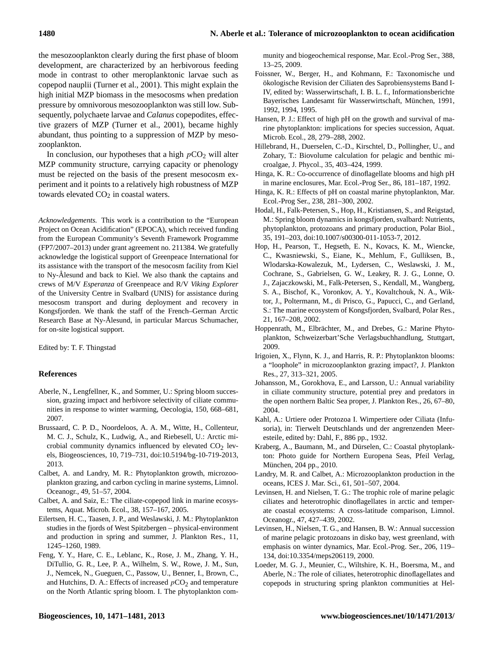the mesozooplankton clearly during the first phase of bloom development, are characterized by an herbivorous feeding mode in contrast to other meroplanktonic larvae such as copepod nauplii (Turner et al., 2001). This might explain the high initial MZP biomass in the mesocosms when predation pressure by omnivorous mesozooplankton was still low. Subsequently, polychaete larvae and *Calanus* copepodites, effective grazers of MZP (Turner et al., 2001), became highly abundant, thus pointing to a suppression of MZP by mesozooplankton.

In conclusion, our hypotheses that a high  $pCO<sub>2</sub>$  will alter MZP community structure, carrying capacity or phenology must be rejected on the basis of the present mesocosm experiment and it points to a relatively high robustness of MZP towards elevated  $CO<sub>2</sub>$  in coastal waters.

*Acknowledgements.* This work is a contribution to the "European Project on Ocean Acidification" (EPOCA), which received funding from the European Community's Seventh Framework Programme (FP7/2007–2013) under grant agreement no. 211384. We gratefully acknowledge the logistical support of Greenpeace International for its assistance with the transport of the mesocosm facility from Kiel to Ny-Ålesund and back to Kiel. We also thank the captains and crews of M/V *Esperanza* of Greenpeace and R/V *Viking Explorer* of the University Centre in Svalbard (UNIS) for assistance during mesocosm transport and during deployment and recovery in Kongsfjorden. We thank the staff of the French–German Arctic Research Base at Ny-Ålesund, in particular Marcus Schumacher, for on-site logistical support.

Edited by: T. F. Thingstad

# **References**

- Aberle, N., Lengfellner, K., and Sommer, U.: Spring bloom succession, grazing impact and herbivore selectivity of ciliate communities in response to winter warming, Oecologia, 150, 668–681, 2007.
- Brussaard, C. P. D., Noordeloos, A. A. M., Witte, H., Collenteur, M. C. J., Schulz, K., Ludwig, A., and Riebesell, U.: Arctic microbial community dynamics influenced by elevated  $CO<sub>2</sub>$  levels, Biogeosciences, 10, 719–731, [doi:10.5194/bg-10-719-2013,](http://dx.doi.org/10.5194/bg-10-719-2013) 2013.
- Calbet, A. and Landry, M. R.: Phytoplankton growth, microzooplankton grazing, and carbon cycling in marine systems, Limnol. Oceanogr., 49, 51–57, 2004.
- Calbet, A. and Saiz, E.: The ciliate-copepod link in marine ecosystems, Aquat. Microb. Ecol., 38, 157–167, 2005.
- Eilertsen, H. C., Taasen, J. P., and Weslawski, J. M.: Phytoplankton studies in the fjords of West Spitzbergen – physical-environment and production in spring and summer, J. Plankton Res., 11, 1245–1260, 1989.
- Feng, Y. Y., Hare, C. E., Leblanc, K., Rose, J. M., Zhang, Y. H., DiTullio, G. R., Lee, P. A., Wilhelm, S. W., Rowe, J. M., Sun, J., Nemcek, N., Gueguen, C., Passow, U., Benner, I., Brown, C., and Hutchins, D. A.: Effects of increased  $pCO<sub>2</sub>$  and temperature on the North Atlantic spring bloom. I. The phytoplankton com-

munity and biogeochemical response, Mar. Ecol.-Prog Ser., 388, 13–25, 2009.

- Foissner, W., Berger, H., and Kohmann, F.: Taxonomische und ökologische Revision der Ciliaten des Saprobiensystems Band I-IV, edited by: Wasserwirtschaft, I. B. L. f., Informationsberichte Bayerisches Landesamt für Wasserwirtschaft, München, 1991, 1992, 1994, 1995.
- Hansen, P. J.: Effect of high pH on the growth and survival of marine phytoplankton: implications for species succession, Aquat. Microb. Ecol., 28, 279–288, 2002.
- Hillebrand, H., Duerselen, C.-D., Kirschtel, D., Pollingher, U., and Zohary, T.: Biovolume calculation for pelagic and benthic microalgae, J. Phycol., 35, 403–424, 1999.
- Hinga, K. R.: Co-occurrence of dinoflagellate blooms and high pH in marine enclosures, Mar. Ecol.-Prog Ser., 86, 181–187, 1992.
- Hinga, K. R.: Effects of pH on coastal marine phytoplankton, Mar. Ecol.-Prog Ser., 238, 281–300, 2002.
- Hodal, H., Falk-Petersen, S., Hop, H., Kristiansen, S., and Reigstad, M.: Spring bloom dynamics in kongsfjorden, svalbard: Nutrients, phytoplankton, protozoans and primary production, Polar Biol., 35, 191–203, [doi:10.1007/s00300-011-1053-7,](http://dx.doi.org/10.1007/s00300-011-1053-7) 2012.
- Hop, H., Pearson, T., Hegseth, E. N., Kovacs, K. M., Wiencke, C., Kwasniewski, S., Eiane, K., Mehlum, F., Gulliksen, B., Wlodarska-Kowalezuk, M., Lydersen, C., Weslawski, J. M., Cochrane, S., Gabrielsen, G. W., Leakey, R. J. G., Lonne, O. J., Zajaczkowski, M., Falk-Petersen, S., Kendall, M., Wangberg, S. A., Bischof, K., Voronkov, A. Y., Kovaltchouk, N. A., Wiktor, J., Poltermann, M., di Prisco, G., Papucci, C., and Gerland, S.: The marine ecosystem of Kongsfjorden, Svalbard, Polar Res., 21, 167–208, 2002.
- Hoppenrath, M., Elbrächter, M., and Drebes, G.: Marine Phytoplankton, Schweizerbart'Sche Verlagsbuchhandlung, Stuttgart, 2009.
- Irigoien, X., Flynn, K. J., and Harris, R. P.: Phytoplankton blooms: a "loophole" in microzooplankton grazing impact?, J. Plankton Res., 27, 313–321, 2005.
- Johansson, M., Gorokhova, E., and Larsson, U.: Annual variability in ciliate community structure, potential prey and predators in the open northern Baltic Sea proper, J. Plankton Res., 26, 67–80, 2004.
- Kahl, A.: Urtiere oder Protozoa I. Wimpertiere oder Ciliata (Infusoria), in: Tierwelt Deutschlands und der angrenzenden Meeresteile, edited by: Dahl, F., 886 pp., 1932.
- Kraberg, A., Baumann, M., and Dürselen, C.: Coastal phytoplankton: Photo guide for Northern Europena Seas, Pfeil Verlag, München, 204 pp., 2010.
- Landry, M. R. and Calbet, A.: Microzooplankton production in the oceans, ICES J. Mar. Sci., 61, 501–507, 2004.
- Levinsen, H. and Nielsen, T. G.: The trophic role of marine pelagic ciliates and heterotrophic dinoflagellates in arctic and temperate coastal ecosystems: A cross-latitude comparison, Limnol. Oceanogr., 47, 427–439, 2002.
- Levinsen, H., Nielsen, T. G., and Hansen, B. W.: Annual succession of marine pelagic protozoans in disko bay, west greenland, with emphasis on winter dynamics, Mar. Ecol.-Prog. Ser., 206, 119– 134, [doi:10.3354/meps206119,](http://dx.doi.org/10.3354/meps206119) 2000.
- Loeder, M. G. J., Meunier, C., Wiltshire, K. H., Boersma, M., and Aberle, N.: The role of ciliates, heterotrophic dinoflagellates and copepods in structuring spring plankton communities at Hel-